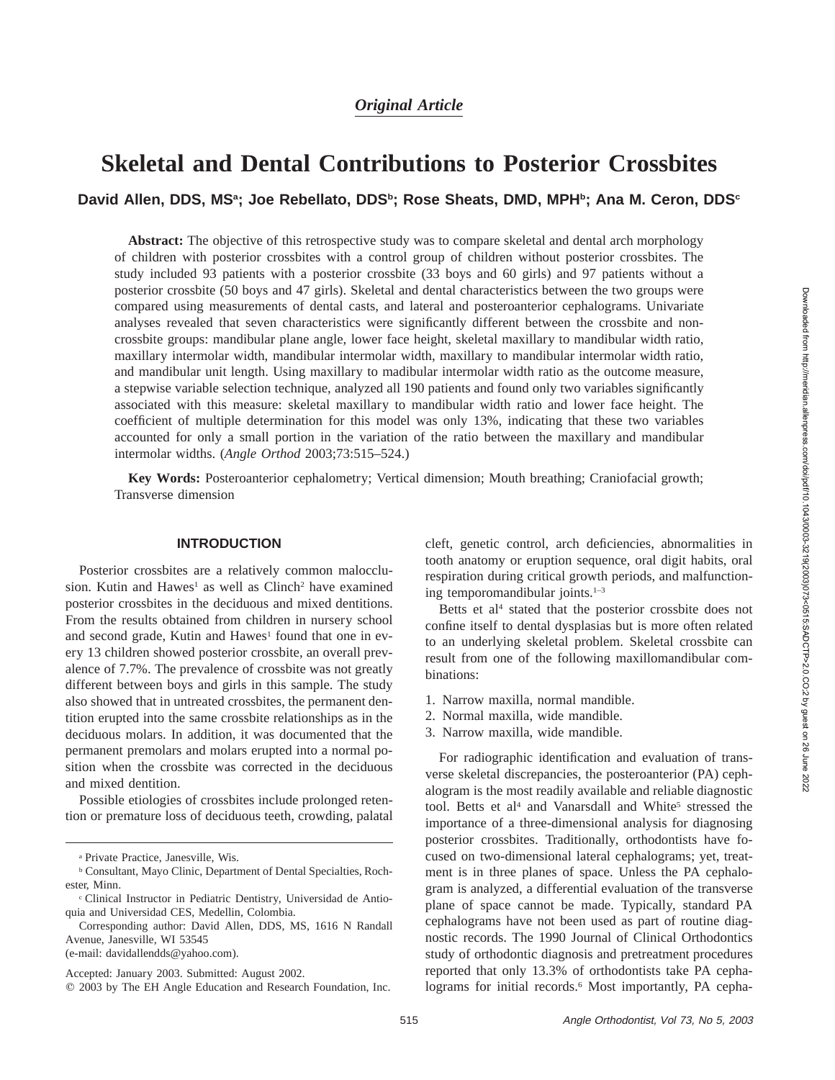# **Skeletal and Dental Contributions to Posterior Crossbites**

David Allen, DDS, MS<sup>a</sup>; Joe Rebellato, DDS<sup>b</sup>; Rose Sheats, DMD, MPH<sup>b</sup>; Ana M. Ceron, DDS<sup>c</sup>

**Abstract:** The objective of this retrospective study was to compare skeletal and dental arch morphology of children with posterior crossbites with a control group of children without posterior crossbites. The study included 93 patients with a posterior crossbite (33 boys and 60 girls) and 97 patients without a posterior crossbite (50 boys and 47 girls). Skeletal and dental characteristics between the two groups were compared using measurements of dental casts, and lateral and posteroanterior cephalograms. Univariate analyses revealed that seven characteristics were significantly different between the crossbite and noncrossbite groups: mandibular plane angle, lower face height, skeletal maxillary to mandibular width ratio, maxillary intermolar width, mandibular intermolar width, maxillary to mandibular intermolar width ratio, and mandibular unit length. Using maxillary to madibular intermolar width ratio as the outcome measure, a stepwise variable selection technique, analyzed all 190 patients and found only two variables significantly associated with this measure: skeletal maxillary to mandibular width ratio and lower face height. The coefficient of multiple determination for this model was only 13%, indicating that these two variables accounted for only a small portion in the variation of the ratio between the maxillary and mandibular intermolar widths. (*Angle Orthod* 2003;73:515–524.)

**Key Words:** Posteroanterior cephalometry; Vertical dimension; Mouth breathing; Craniofacial growth; Transverse dimension

# **INTRODUCTION**

Posterior crossbites are a relatively common malocclusion. Kutin and Hawes<sup>1</sup> as well as Clinch<sup>2</sup> have examined posterior crossbites in the deciduous and mixed dentitions. From the results obtained from children in nursery school and second grade, Kutin and Hawes<sup>1</sup> found that one in every 13 children showed posterior crossbite, an overall prevalence of 7.7%. The prevalence of crossbite was not greatly different between boys and girls in this sample. The study also showed that in untreated crossbites, the permanent dentition erupted into the same crossbite relationships as in the deciduous molars. In addition, it was documented that the permanent premolars and molars erupted into a normal position when the crossbite was corrected in the deciduous and mixed dentition.

Possible etiologies of crossbites include prolonged retention or premature loss of deciduous teeth, crowding, palatal

(e-mail: davidallendds@yahoo.com).

cleft, genetic control, arch deficiencies, abnormalities in tooth anatomy or eruption sequence, oral digit habits, oral respiration during critical growth periods, and malfunctioning temporomandibular joints.1–3

Betts et al<sup>4</sup> stated that the posterior crossbite does not confine itself to dental dysplasias but is more often related to an underlying skeletal problem. Skeletal crossbite can result from one of the following maxillomandibular combinations:

- 1. Narrow maxilla, normal mandible.
- 2. Normal maxilla, wide mandible.
- 3. Narrow maxilla, wide mandible.

For radiographic identification and evaluation of transverse skeletal discrepancies, the posteroanterior (PA) cephalogram is the most readily available and reliable diagnostic tool. Betts et al<sup>4</sup> and Vanarsdall and White<sup>5</sup> stressed the importance of a three-dimensional analysis for diagnosing posterior crossbites. Traditionally, orthodontists have focused on two-dimensional lateral cephalograms; yet, treatment is in three planes of space. Unless the PA cephalogram is analyzed, a differential evaluation of the transverse plane of space cannot be made. Typically, standard PA cephalograms have not been used as part of routine diagnostic records. The 1990 Journal of Clinical Orthodontics study of orthodontic diagnosis and pretreatment procedures reported that only 13.3% of orthodontists take PA cephalograms for initial records.<sup>6</sup> Most importantly, PA cepha-

<sup>a</sup> Private Practice, Janesville, Wis.

<sup>b</sup> Consultant, Mayo Clinic, Department of Dental Specialties, Rochester, Minn.

<sup>c</sup> Clinical Instructor in Pediatric Dentistry, Universidad de Antioquia and Universidad CES, Medellin, Colombia.

Corresponding author: David Allen, DDS, MS, 1616 N Randall Avenue, Janesville, WI 53545

Accepted: January 2003. Submitted: August 2002.

 $Q$  2003 by The EH Angle Education and Research Foundation, Inc.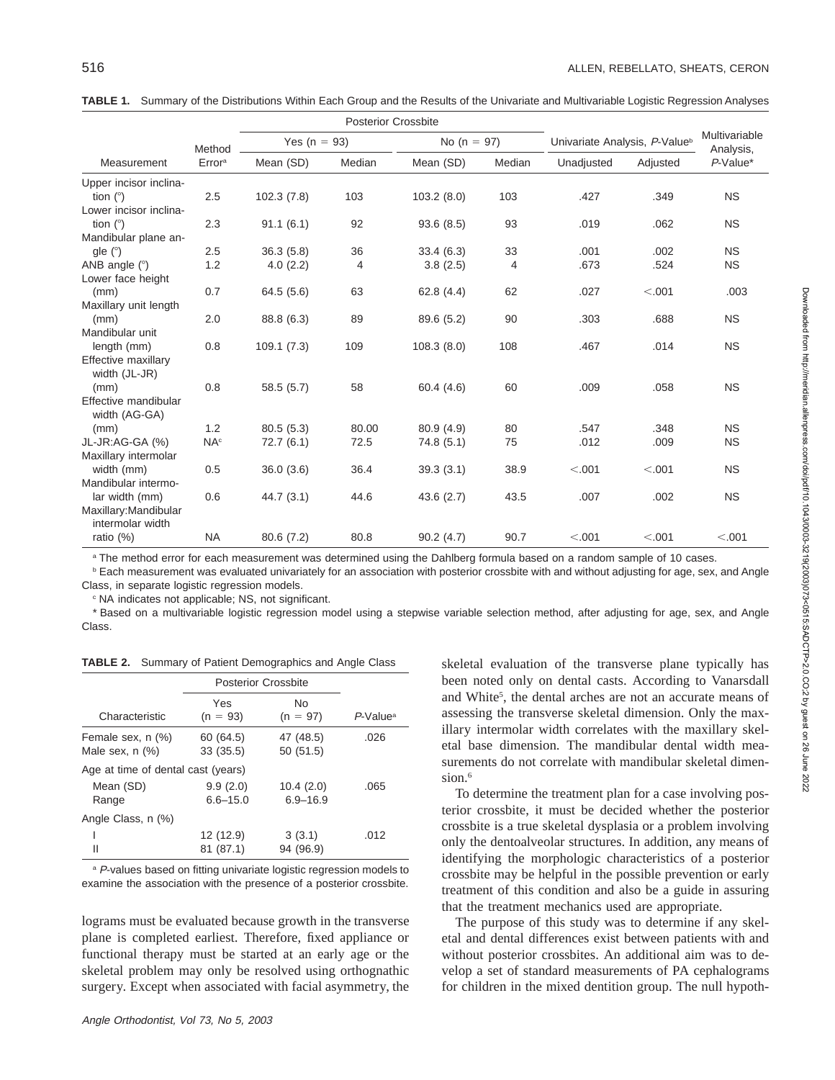|                        |                 |                  | <b>Posterior Crossbite</b> |                 |        | Multivariable<br>Analysis, |                                           |             |
|------------------------|-----------------|------------------|----------------------------|-----------------|--------|----------------------------|-------------------------------------------|-------------|
|                        | Method          | Yes ( $n = 93$ ) |                            | No ( $n = 97$ ) |        |                            | Univariate Analysis, P-Value <sup>b</sup> |             |
| Measurement            | Errora          | Mean (SD)        | Median                     | Mean (SD)       | Median | Unadjusted                 | Adjusted                                  | $P$ -Value* |
| Upper incisor inclina- |                 |                  |                            |                 |        |                            |                                           |             |
| tion $(^\circ)$        | 2.5             | 102.3(7.8)       | 103                        | 103.2(8.0)      | 103    | .427                       | .349                                      | <b>NS</b>   |
| Lower incisor inclina- |                 |                  |                            |                 |        |                            |                                           |             |
| tion $(^\circ)$        | 2.3             | 91.1(6.1)        | 92                         | 93.6(8.5)       | 93     | .019                       | .062                                      | <b>NS</b>   |
| Mandibular plane an-   |                 |                  |                            |                 |        |                            |                                           |             |
| gle $(°)$              | 2.5             | 36.3(5.8)        | 36                         | 33.4(6.3)       | 33     | .001                       | .002                                      | <b>NS</b>   |
| ANB angle $(°)$        | 1.2             | 4.0(2.2)         | 4                          | 3.8(2.5)        | 4      | .673                       | .524                                      | <b>NS</b>   |
| Lower face height      |                 |                  |                            |                 |        |                            |                                           |             |
| (mm)                   | 0.7             | 64.5(5.6)        | 63                         | 62.8(4.4)       | 62     | .027                       | < 0.001                                   | .003        |
| Maxillary unit length  |                 |                  |                            |                 |        |                            |                                           |             |
| (mm)                   | 2.0             | 88.8 (6.3)       | 89                         | 89.6 (5.2)      | 90     | .303                       | .688                                      | <b>NS</b>   |
| Mandibular unit        |                 |                  |                            |                 |        |                            |                                           |             |
| length (mm)            | 0.8             | 109.1(7.3)       | 109                        | 108.3(8.0)      | 108    | .467                       | .014                                      | <b>NS</b>   |
| Effective maxillary    |                 |                  |                            |                 |        |                            |                                           |             |
| width (JL-JR)          |                 |                  |                            |                 |        |                            |                                           |             |
| (mm)                   | 0.8             | 58.5(5.7)        | 58                         | 60.4(4.6)       | 60     | .009                       | .058                                      | <b>NS</b>   |
| Effective mandibular   |                 |                  |                            |                 |        |                            |                                           |             |
| width (AG-GA)          |                 |                  |                            |                 |        |                            |                                           |             |
| (mm)                   | 1.2             | 80.5(5.3)        | 80.00                      | 80.9 (4.9)      | 80     | .547                       | .348                                      | <b>NS</b>   |
| JL-JR:AG-GA (%)        | NA <sup>c</sup> | 72.7(6.1)        | 72.5                       | 74.8 (5.1)      | 75     | .012                       | .009                                      | <b>NS</b>   |
| Maxillary intermolar   |                 |                  |                            |                 |        |                            |                                           |             |
| width (mm)             | 0.5             | 36.0(3.6)        | 36.4                       | 39.3(3.1)       | 38.9   | < 0.001                    | < 0.001                                   | <b>NS</b>   |
| Mandibular intermo-    |                 |                  |                            |                 |        |                            |                                           |             |
| lar width (mm)         | 0.6             | 44.7(3.1)        | 44.6                       | 43.6(2.7)       | 43.5   | .007                       | .002                                      | <b>NS</b>   |
| Maxillary: Mandibular  |                 |                  |                            |                 |        |                            |                                           |             |
| intermolar width       |                 |                  |                            |                 |        |                            |                                           |             |
| ratio $(\%)$           | <b>NA</b>       | 80.6(7.2)        | 80.8                       | 90.2(4.7)       | 90.7   | < .001                     | < .001                                    | < .001      |

**TABLE 1.** Summary of the Distributions Within Each Group and the Results of the Univariate and Multivariable Logistic Regression Analyses

a The method error for each measurement was determined using the Dahlberg formula based on a random sample of 10 cases.

**b** Each measurement was evaluated univariately for an association with posterior crossbite with and without adjusting for age, sex, and Angle Class, in separate logistic regression models.

<sup>c</sup> NA indicates not applicable; NS, not significant.

\* Based on a multivariable logistic regression model using a stepwise variable selection method, after adjusting for age, sex, and Angle Class.

|  | <b>TABLE 2.</b> Summary of Patient Demographics and Angle Class |  |
|--|-----------------------------------------------------------------|--|
|  |                                                                 |  |

|                                                          | <b>Posterior Crossbite</b> |                           |                      |
|----------------------------------------------------------|----------------------------|---------------------------|----------------------|
| Characteristic                                           | Yes<br>$(n = 93)$          | No<br>$(n = 97)$          | P-Value <sup>a</sup> |
| Female sex, n (%)<br>Male sex, n (%)                     | 60 (64.5)<br>33(35.5)      | 47 (48.5)<br>50(51.5)     | .026                 |
| Age at time of dental cast (years)<br>Mean (SD)<br>Range | 9.9(2.0)<br>$6.6 - 15.0$   | 10.4(2.0)<br>$6.9 - 16.9$ | .065                 |
| Angle Class, n (%)<br>Ш                                  | 12 (12.9)<br>81 (87.1)     | 3(3.1)<br>94 (96.9)       | .012                 |

<sup>a</sup> P-values based on fitting univariate logistic regression models to examine the association with the presence of a posterior crossbite.

lograms must be evaluated because growth in the transverse plane is completed earliest. Therefore, fixed appliance or functional therapy must be started at an early age or the skeletal problem may only be resolved using orthognathic surgery. Except when associated with facial asymmetry, the

skeletal evaluation of the transverse plane typically has been noted only on dental casts. According to Vanarsdall and White<sup>5</sup>, the dental arches are not an accurate means of assessing the transverse skeletal dimension. Only the maxillary intermolar width correlates with the maxillary skeletal base dimension. The mandibular dental width measurements do not correlate with mandibular skeletal dimension.<sup>6</sup>

To determine the treatment plan for a case involving posterior crossbite, it must be decided whether the posterior crossbite is a true skeletal dysplasia or a problem involving only the dentoalveolar structures. In addition, any means of identifying the morphologic characteristics of a posterior crossbite may be helpful in the possible prevention or early treatment of this condition and also be a guide in assuring that the treatment mechanics used are appropriate.

The purpose of this study was to determine if any skeletal and dental differences exist between patients with and without posterior crossbites. An additional aim was to develop a set of standard measurements of PA cephalograms for children in the mixed dentition group. The null hypoth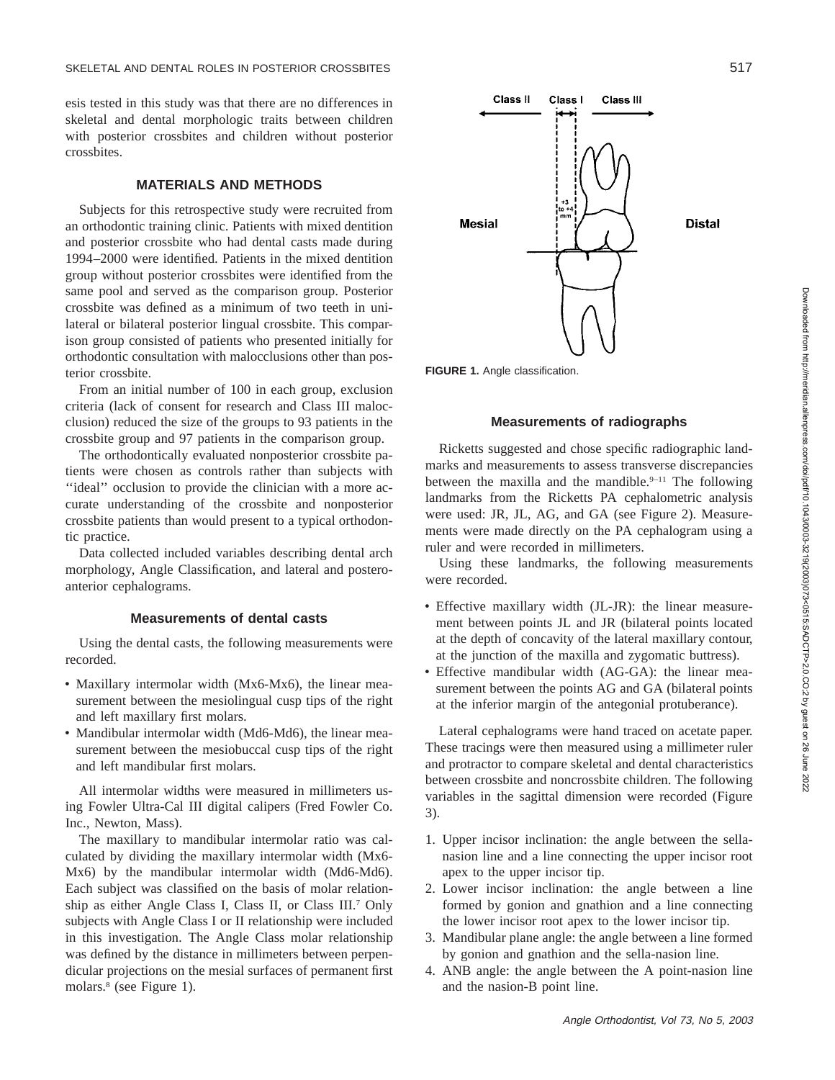esis tested in this study was that there are no differences in skeletal and dental morphologic traits between children with posterior crossbites and children without posterior crossbites.

# **MATERIALS AND METHODS**

Subjects for this retrospective study were recruited from an orthodontic training clinic. Patients with mixed dentition and posterior crossbite who had dental casts made during 1994–2000 were identified. Patients in the mixed dentition group without posterior crossbites were identified from the same pool and served as the comparison group. Posterior crossbite was defined as a minimum of two teeth in unilateral or bilateral posterior lingual crossbite. This comparison group consisted of patients who presented initially for orthodontic consultation with malocclusions other than posterior crossbite.

From an initial number of 100 in each group, exclusion criteria (lack of consent for research and Class III malocclusion) reduced the size of the groups to 93 patients in the crossbite group and 97 patients in the comparison group.

The orthodontically evaluated nonposterior crossbite patients were chosen as controls rather than subjects with ''ideal'' occlusion to provide the clinician with a more accurate understanding of the crossbite and nonposterior crossbite patients than would present to a typical orthodontic practice.

Data collected included variables describing dental arch morphology, Angle Classification, and lateral and posteroanterior cephalograms.

## **Measurements of dental casts**

Using the dental casts, the following measurements were recorded.

- Maxillary intermolar width (Mx6-Mx6), the linear measurement between the mesiolingual cusp tips of the right and left maxillary first molars.
- Mandibular intermolar width (Md6-Md6), the linear measurement between the mesiobuccal cusp tips of the right and left mandibular first molars.

All intermolar widths were measured in millimeters using Fowler Ultra-Cal III digital calipers (Fred Fowler Co. Inc., Newton, Mass).

The maxillary to mandibular intermolar ratio was calculated by dividing the maxillary intermolar width (Mx6- Mx6) by the mandibular intermolar width (Md6-Md6). Each subject was classified on the basis of molar relationship as either Angle Class I, Class II, or Class III.7 Only subjects with Angle Class I or II relationship were included in this investigation. The Angle Class molar relationship was defined by the distance in millimeters between perpendicular projections on the mesial surfaces of permanent first molars.<sup>8</sup> (see Figure 1).



**FIGURE 1.** Angle classification.

## **Measurements of radiographs**

Ricketts suggested and chose specific radiographic landmarks and measurements to assess transverse discrepancies between the maxilla and the mandible. $9-11$  The following landmarks from the Ricketts PA cephalometric analysis were used: JR, JL, AG, and GA (see Figure 2). Measurements were made directly on the PA cephalogram using a ruler and were recorded in millimeters.

Using these landmarks, the following measurements were recorded.

- Effective maxillary width (JL-JR): the linear measurement between points JL and JR (bilateral points located at the depth of concavity of the lateral maxillary contour, at the junction of the maxilla and zygomatic buttress).
- Effective mandibular width (AG-GA): the linear measurement between the points AG and GA (bilateral points at the inferior margin of the antegonial protuberance).

Lateral cephalograms were hand traced on acetate paper. These tracings were then measured using a millimeter ruler and protractor to compare skeletal and dental characteristics between crossbite and noncrossbite children. The following variables in the sagittal dimension were recorded (Figure 3).

- 1. Upper incisor inclination: the angle between the sellanasion line and a line connecting the upper incisor root apex to the upper incisor tip.
- 2. Lower incisor inclination: the angle between a line formed by gonion and gnathion and a line connecting the lower incisor root apex to the lower incisor tip.
- 3. Mandibular plane angle: the angle between a line formed by gonion and gnathion and the sella-nasion line.
- 4. ANB angle: the angle between the A point-nasion line and the nasion-B point line.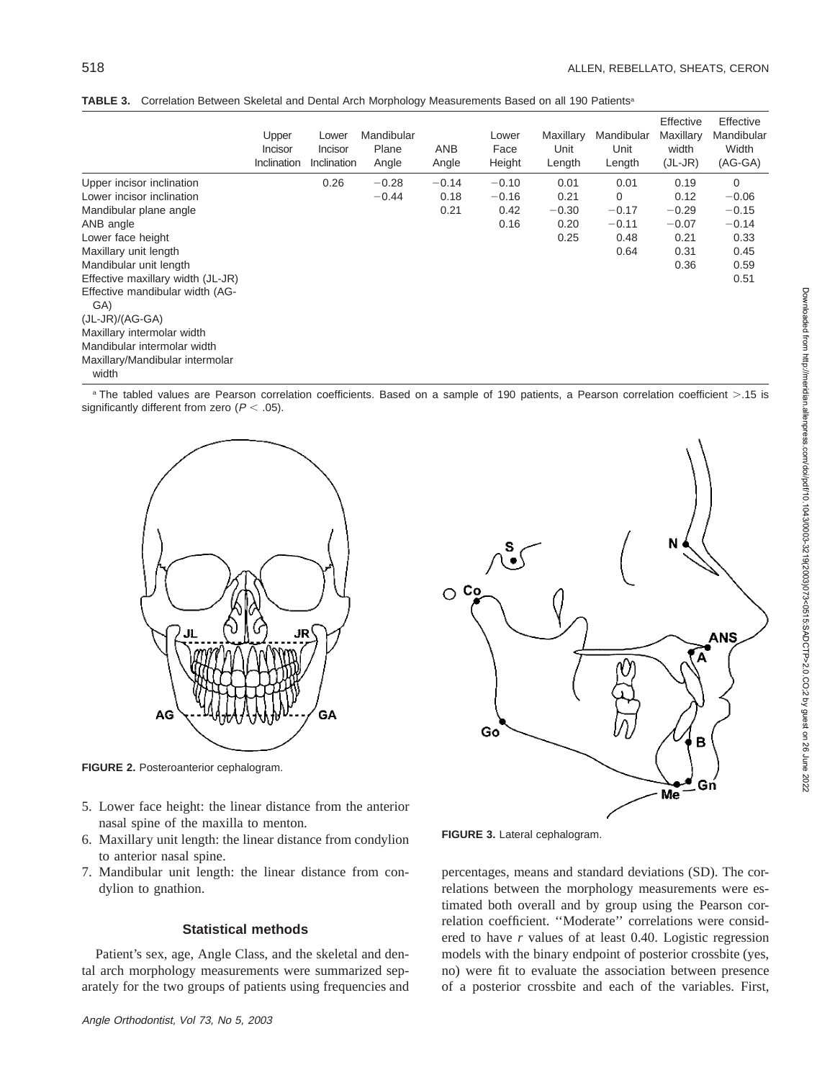|                                        | Upper<br>Incisor<br>Inclination | Lower<br><b>Incisor</b><br>Inclination | Mandibular<br>Plane<br>Angle | ANB<br>Angle | Lower<br>Face<br>Height | Maxillary<br>Unit<br>Length | Mandibular<br>Unit<br>Length | Effective<br>Maxillary<br>width<br>$JL-JR)$ | Effective<br>Mandibular<br>Width<br>$(AG-GA)$ |
|----------------------------------------|---------------------------------|----------------------------------------|------------------------------|--------------|-------------------------|-----------------------------|------------------------------|---------------------------------------------|-----------------------------------------------|
| Upper incisor inclination              |                                 | 0.26                                   | $-0.28$                      | $-0.14$      | $-0.10$                 | 0.01                        | 0.01                         | 0.19                                        | 0                                             |
| Lower incisor inclination              |                                 |                                        | $-0.44$                      | 0.18         | $-0.16$                 | 0.21                        | 0                            | 0.12                                        | $-0.06$                                       |
| Mandibular plane angle                 |                                 |                                        |                              | 0.21         | 0.42                    | $-0.30$                     | $-0.17$                      | $-0.29$                                     | $-0.15$                                       |
| ANB angle                              |                                 |                                        |                              |              | 0.16                    | 0.20                        | $-0.11$                      | $-0.07$                                     | $-0.14$                                       |
| Lower face height                      |                                 |                                        |                              |              |                         | 0.25                        | 0.48                         | 0.21                                        | 0.33                                          |
| Maxillary unit length                  |                                 |                                        |                              |              |                         |                             | 0.64                         | 0.31                                        | 0.45                                          |
| Mandibular unit length                 |                                 |                                        |                              |              |                         |                             |                              | 0.36                                        | 0.59                                          |
| Effective maxillary width (JL-JR)      |                                 |                                        |                              |              |                         |                             |                              |                                             | 0.51                                          |
| Effective mandibular width (AG-<br>GA) |                                 |                                        |                              |              |                         |                             |                              |                                             |                                               |
| $(JL-JR)/(AG-GA)$                      |                                 |                                        |                              |              |                         |                             |                              |                                             |                                               |
| Maxillary intermolar width             |                                 |                                        |                              |              |                         |                             |                              |                                             |                                               |
| Mandibular intermolar width            |                                 |                                        |                              |              |                         |                             |                              |                                             |                                               |
| Maxillary/Mandibular intermolar        |                                 |                                        |                              |              |                         |                             |                              |                                             |                                               |

**TABLE 3.** Correlation Between Skeletal and Dental Arch Morphology Measurements Based on all 190 Patientsa

width

<sup>a</sup> The tabled values are Pearson correlation coefficients. Based on a sample of 190 patients, a Pearson correlation coefficient >.15 is significantly different from zero ( $P < .05$ ).



**FIGURE 2.** Posteroanterior cephalogram.

- 5. Lower face height: the linear distance from the anterior nasal spine of the maxilla to menton.
- 6. Maxillary unit length: the linear distance from condylion to anterior nasal spine.
- 7. Mandibular unit length: the linear distance from condylion to gnathion.

## **Statistical methods**

Patient's sex, age, Angle Class, and the skeletal and dental arch morphology measurements were summarized separately for the two groups of patients using frequencies and



**FIGURE 3.** Lateral cephalogram.

percentages, means and standard deviations (SD). The correlations between the morphology measurements were estimated both overall and by group using the Pearson correlation coefficient. ''Moderate'' correlations were considered to have *r* values of at least 0.40. Logistic regression models with the binary endpoint of posterior crossbite (yes, no) were fit to evaluate the association between presence of a posterior crossbite and each of the variables. First,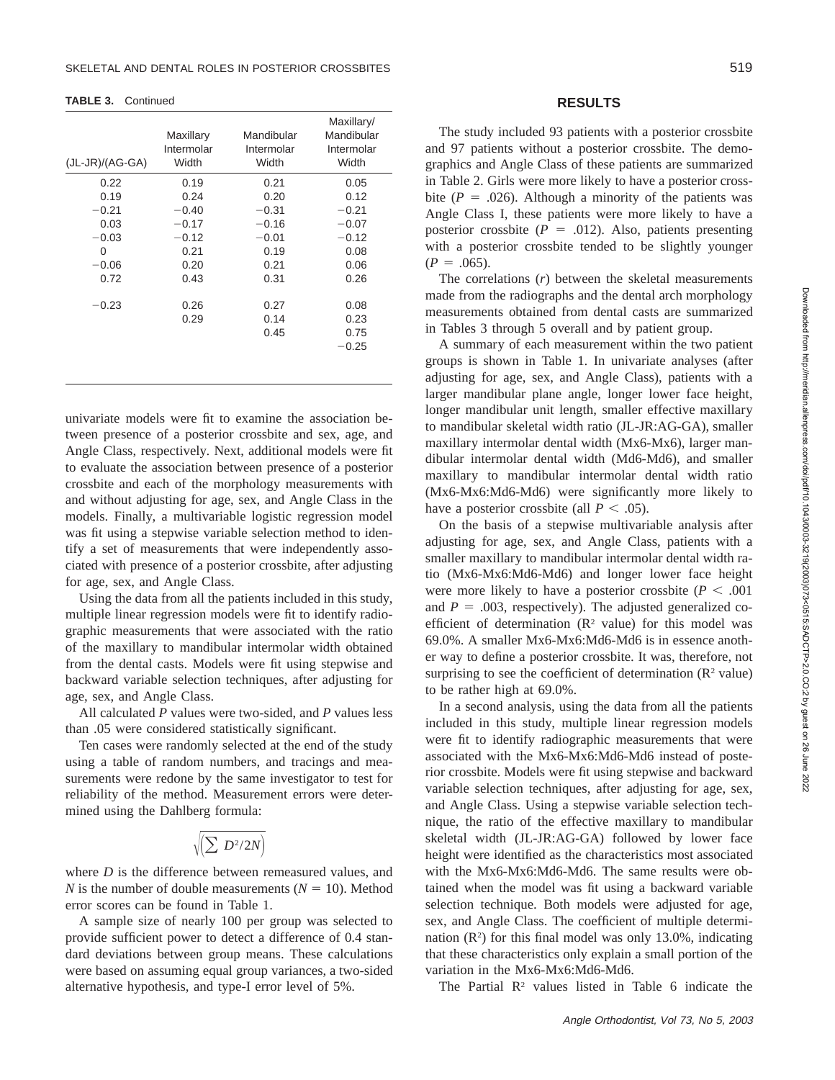**TABLE 3.** Continued

| $(JL-JR)/(AG-GA)$ | Maxillary<br>Intermolar<br>Width | Mandibular<br>Intermolar<br>Width | Maxillary/<br>Mandibular<br>Intermolar<br>Width |
|-------------------|----------------------------------|-----------------------------------|-------------------------------------------------|
| 0.22              | 0.19                             | 0.21                              | 0.05                                            |
| 0.19              | 0.24                             | 0.20                              | 0.12                                            |
| $-0.21$           | $-0.40$                          | $-0.31$                           | $-0.21$                                         |
| 0.03              | $-0.17$                          | $-0.16$                           | $-0.07$                                         |
| $-0.03$           | $-0.12$                          | $-0.01$                           | $-0.12$                                         |
| 0                 | 0.21                             | 0.19                              | 0.08                                            |
| $-0.06$           | 0.20                             | 0.21                              | 0.06                                            |
| 0.72              | 0.43                             | 0.31                              | 0.26                                            |
| $-0.23$           | 0.26                             | 0.27                              | 0.08                                            |
|                   | 0.29                             | 0.14                              | 0.23                                            |
|                   |                                  | 0.45                              | 0.75                                            |
|                   |                                  |                                   | $-0.25$                                         |

univariate models were fit to examine the association between presence of a posterior crossbite and sex, age, and Angle Class, respectively. Next, additional models were fit to evaluate the association between presence of a posterior crossbite and each of the morphology measurements with and without adjusting for age, sex, and Angle Class in the models. Finally, a multivariable logistic regression model was fit using a stepwise variable selection method to identify a set of measurements that were independently associated with presence of a posterior crossbite, after adjusting for age, sex, and Angle Class.

Using the data from all the patients included in this study, multiple linear regression models were fit to identify radiographic measurements that were associated with the ratio of the maxillary to mandibular intermolar width obtained from the dental casts. Models were fit using stepwise and backward variable selection techniques, after adjusting for age, sex, and Angle Class.

All calculated *P* values were two-sided, and *P* values less than .05 were considered statistically significant.

Ten cases were randomly selected at the end of the study using a table of random numbers, and tracings and measurements were redone by the same investigator to test for reliability of the method. Measurement errors were determined using the Dahlberg formula:

$$
\sqrt{\left(\sum D^2/2N\right)}
$$

where *D* is the difference between remeasured values, and *N* is the number of double measurements ( $N = 10$ ). Method error scores can be found in Table 1.

A sample size of nearly 100 per group was selected to provide sufficient power to detect a difference of 0.4 standard deviations between group means. These calculations were based on assuming equal group variances, a two-sided alternative hypothesis, and type-I error level of 5%.

#### **RESULTS**

The study included 93 patients with a posterior crossbite and 97 patients without a posterior crossbite. The demographics and Angle Class of these patients are summarized in Table 2. Girls were more likely to have a posterior crossbite  $(P = .026)$ . Although a minority of the patients was Angle Class I, these patients were more likely to have a posterior crossbite ( $P = .012$ ). Also, patients presenting with a posterior crossbite tended to be slightly younger  $(P = .065)$ .

The correlations (*r*) between the skeletal measurements made from the radiographs and the dental arch morphology measurements obtained from dental casts are summarized in Tables 3 through 5 overall and by patient group.

A summary of each measurement within the two patient groups is shown in Table 1. In univariate analyses (after adjusting for age, sex, and Angle Class), patients with a larger mandibular plane angle, longer lower face height, longer mandibular unit length, smaller effective maxillary to mandibular skeletal width ratio (JL-JR:AG-GA), smaller maxillary intermolar dental width (Mx6-Mx6), larger mandibular intermolar dental width (Md6-Md6), and smaller maxillary to mandibular intermolar dental width ratio (Mx6-Mx6:Md6-Md6) were significantly more likely to have a posterior crossbite (all  $P < .05$ ).

On the basis of a stepwise multivariable analysis after adjusting for age, sex, and Angle Class, patients with a smaller maxillary to mandibular intermolar dental width ratio (Mx6-Mx6:Md6-Md6) and longer lower face height were more likely to have a posterior crossbite ( $P < .001$ ) and  $P = .003$ , respectively). The adjusted generalized coefficient of determination  $(R^2 \text{ value})$  for this model was 69.0%. A smaller Mx6-Mx6:Md6-Md6 is in essence another way to define a posterior crossbite. It was, therefore, not surprising to see the coefficient of determination  $(R^2 \text{ value})$ to be rather high at 69.0%.

In a second analysis, using the data from all the patients included in this study, multiple linear regression models were fit to identify radiographic measurements that were associated with the Mx6-Mx6:Md6-Md6 instead of posterior crossbite. Models were fit using stepwise and backward variable selection techniques, after adjusting for age, sex, and Angle Class. Using a stepwise variable selection technique, the ratio of the effective maxillary to mandibular skeletal width (JL-JR:AG-GA) followed by lower face height were identified as the characteristics most associated with the Mx6-Mx6:Md6-Md6. The same results were obtained when the model was fit using a backward variable selection technique. Both models were adjusted for age, sex, and Angle Class. The coefficient of multiple determination  $(R^2)$  for this final model was only 13.0%, indicating that these characteristics only explain a small portion of the variation in the Mx6-Mx6:Md6-Md6.

The Partial  $\mathbb{R}^2$  values listed in Table 6 indicate the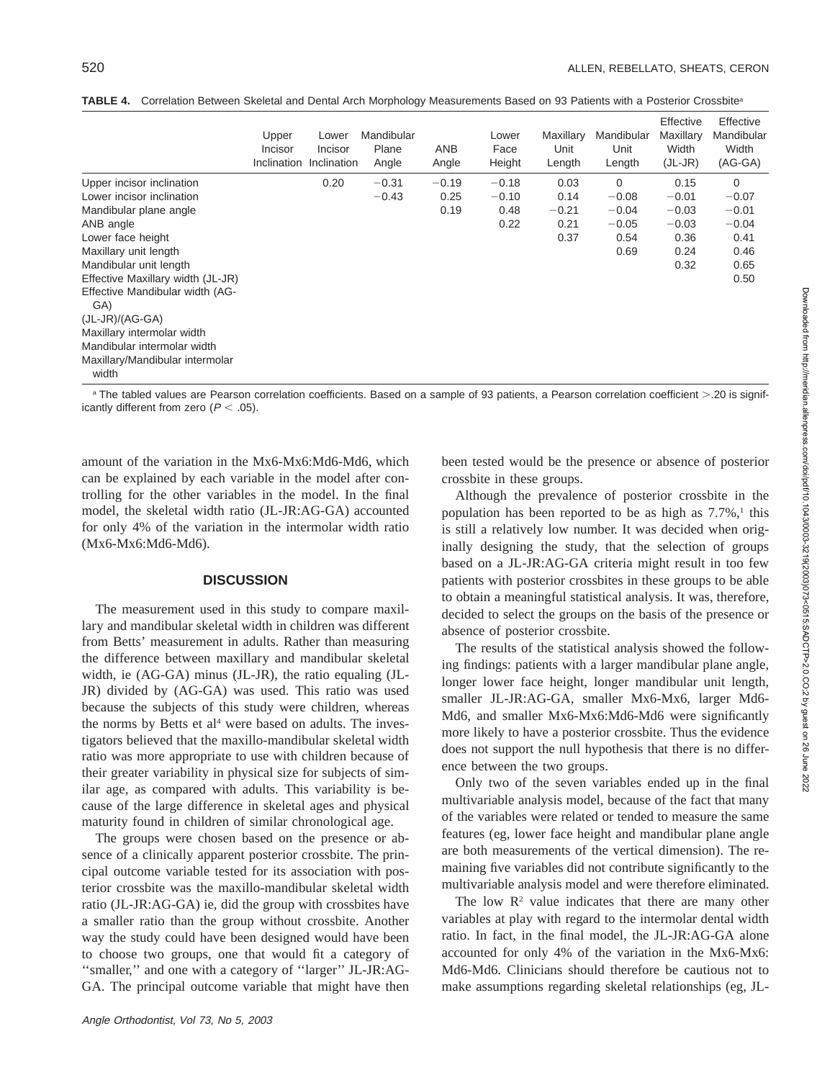|                                          | Upper<br>Incisor<br>Inclination | Lower<br>Incisor<br>Inclination | Mandibular<br>Plane<br>Angle | ANB<br>Angle | Lower<br>Face<br>Height | Maxillary<br>Unit<br>Length | Mandibular<br>Unit<br>Length | Effective<br>Maxillary<br>Width<br>$JL-JR)$ | Effective<br>Mandibular<br>Width<br>$(AG-GA)$ |
|------------------------------------------|---------------------------------|---------------------------------|------------------------------|--------------|-------------------------|-----------------------------|------------------------------|---------------------------------------------|-----------------------------------------------|
| Upper incisor inclination                |                                 | 0.20                            | $-0.31$                      | $-0.19$      | $-0.18$                 | 0.03                        | 0                            | 0.15                                        | $\Omega$                                      |
| Lower incisor inclination                |                                 |                                 | $-0.43$                      | 0.25         | $-0.10$                 | 0.14                        | $-0.08$                      | $-0.01$                                     | $-0.07$                                       |
| Mandibular plane angle                   |                                 |                                 |                              | 0.19         | 0.48                    | $-0.21$                     | $-0.04$                      | $-0.03$                                     | $-0.01$                                       |
| ANB angle                                |                                 |                                 |                              |              | 0.22                    | 0.21                        | $-0.05$                      | $-0.03$                                     | $-0.04$                                       |
| Lower face height                        |                                 |                                 |                              |              |                         | 0.37                        | 0.54                         | 0.36                                        | 0.41                                          |
| Maxillary unit length                    |                                 |                                 |                              |              |                         |                             | 0.69                         | 0.24                                        | 0.46                                          |
| Mandibular unit length                   |                                 |                                 |                              |              |                         |                             |                              | 0.32                                        | 0.65                                          |
| Effective Maxillary width (JL-JR)        |                                 |                                 |                              |              |                         |                             |                              |                                             | 0.50                                          |
| Effective Mandibular width (AG-<br>GA)   |                                 |                                 |                              |              |                         |                             |                              |                                             |                                               |
| $(JL-JR)/(AG-GA)$                        |                                 |                                 |                              |              |                         |                             |                              |                                             |                                               |
| Maxillary intermolar width               |                                 |                                 |                              |              |                         |                             |                              |                                             |                                               |
| Mandibular intermolar width              |                                 |                                 |                              |              |                         |                             |                              |                                             |                                               |
| Maxillary/Mandibular intermolar<br>width |                                 |                                 |                              |              |                         |                             |                              |                                             |                                               |

**TABLE 4.** Correlation Between Skeletal and Dental Arch Morphology Measurements Based on 93 Patients with a Posterior Crossbitea

<sup>a</sup> The tabled values are Pearson correlation coefficients. Based on a sample of 93 patients, a Pearson correlation coefficient >.20 is significantly different from zero ( $P < .05$ ).

amount of the variation in the Mx6-Mx6:Md6-Md6, which can be explained by each variable in the model after controlling for the other variables in the model. In the final model, the skeletal width ratio (JL-JR:AG-GA) accounted for only 4% of the variation in the intermolar width ratio (Mx6-Mx6:Md6-Md6).

## **DISCUSSION**

The measurement used in this study to compare maxillary and mandibular skeletal width in children was different from Betts' measurement in adults. Rather than measuring the difference between maxillary and mandibular skeletal width, ie (AG-GA) minus (JL-JR), the ratio equaling (JL-JR) divided by (AG-GA) was used. This ratio was used because the subjects of this study were children, whereas the norms by Betts et al<sup>4</sup> were based on adults. The investigators believed that the maxillo-mandibular skeletal width ratio was more appropriate to use with children because of their greater variability in physical size for subjects of similar age, as compared with adults. This variability is because of the large difference in skeletal ages and physical maturity found in children of similar chronological age.

The groups were chosen based on the presence or absence of a clinically apparent posterior crossbite. The principal outcome variable tested for its association with posterior crossbite was the maxillo-mandibular skeletal width ratio (JL-JR:AG-GA) ie, did the group with crossbites have a smaller ratio than the group without crossbite. Another way the study could have been designed would have been to choose two groups, one that would fit a category of "smaller," and one with a category of "larger" JL-JR:AG-GA. The principal outcome variable that might have then been tested would be the presence or absence of posterior crossbite in these groups.

Although the prevalence of posterior crossbite in the population has been reported to be as high as  $7.7\%$ ,<sup>1</sup> this is still a relatively low number. It was decided when originally designing the study, that the selection of groups based on a JL-JR:AG-GA criteria might result in too few patients with posterior crossbites in these groups to be able to obtain a meaningful statistical analysis. It was, therefore, decided to select the groups on the basis of the presence or absence of posterior crossbite.

The results of the statistical analysis showed the following findings: patients with a larger mandibular plane angle, longer lower face height, longer mandibular unit length, smaller JL-JR:AG-GA, smaller Mx6-Mx6, larger Md6- Md6, and smaller Mx6-Mx6:Md6-Md6 were significantly more likely to have a posterior crossbite. Thus the evidence does not support the null hypothesis that there is no difference between the two groups.

Only two of the seven variables ended up in the final multivariable analysis model, because of the fact that many of the variables were related or tended to measure the same features (eg, lower face height and mandibular plane angle are both measurements of the vertical dimension). The remaining five variables did not contribute significantly to the multivariable analysis model and were therefore eliminated.

The low  $\mathbb{R}^2$  value indicates that there are many other variables at play with regard to the intermolar dental width ratio. In fact, in the final model, the JL-JR:AG-GA alone accounted for only 4% of the variation in the Mx6-Mx6: Md6-Md6. Clinicians should therefore be cautious not to make assumptions regarding skeletal relationships (eg, JL-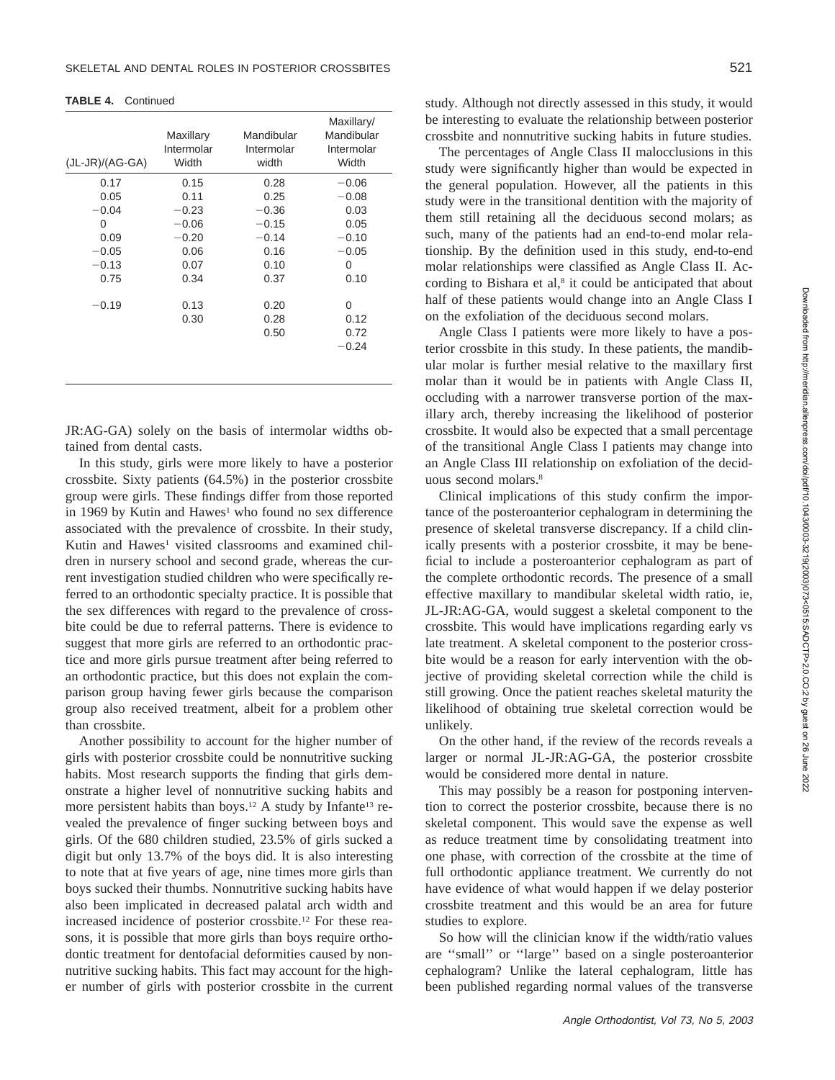**TABLE 4.** Continued

| $(JL-JR)/(AG-GA)$ | Maxillary<br>Intermolar<br>Width | Mandibular<br>Intermolar<br>width | Maxillary/<br>Mandibular<br>Intermolar<br>Width |
|-------------------|----------------------------------|-----------------------------------|-------------------------------------------------|
| 0.17              | 0.15                             | 0.28                              | $-0.06$                                         |
| 0.05              | 0.11                             | 0.25                              | $-0.08$                                         |
| $-0.04$           | $-0.23$                          | $-0.36$                           | 0.03                                            |
| 0                 | $-0.06$                          | $-0.15$                           | 0.05                                            |
| 0.09              | $-0.20$                          | $-0.14$                           | $-0.10$                                         |
| $-0.05$           | 0.06                             | 0.16                              | $-0.05$                                         |
| $-0.13$           | 0.07                             | 0.10                              | 0                                               |
| 0.75              | 0.34                             | 0.37                              | 0.10                                            |
| $-0.19$           | 0.13                             | 0.20                              | 0                                               |
|                   | 0.30                             | 0.28                              | 0.12                                            |
|                   |                                  | 0.50                              | 0.72                                            |
|                   |                                  |                                   | $-0.24$                                         |
|                   |                                  |                                   |                                                 |

JR:AG-GA) solely on the basis of intermolar widths obtained from dental casts.

In this study, girls were more likely to have a posterior crossbite. Sixty patients (64.5%) in the posterior crossbite group were girls. These findings differ from those reported in 1969 by Kutin and  $Hawes<sup>1</sup>$  who found no sex difference associated with the prevalence of crossbite. In their study, Kutin and Hawes<sup>1</sup> visited classrooms and examined children in nursery school and second grade, whereas the current investigation studied children who were specifically referred to an orthodontic specialty practice. It is possible that the sex differences with regard to the prevalence of crossbite could be due to referral patterns. There is evidence to suggest that more girls are referred to an orthodontic practice and more girls pursue treatment after being referred to an orthodontic practice, but this does not explain the comparison group having fewer girls because the comparison group also received treatment, albeit for a problem other than crossbite.

Another possibility to account for the higher number of girls with posterior crossbite could be nonnutritive sucking habits. Most research supports the finding that girls demonstrate a higher level of nonnutritive sucking habits and more persistent habits than boys.<sup>12</sup> A study by Infante<sup>13</sup> revealed the prevalence of finger sucking between boys and girls. Of the 680 children studied, 23.5% of girls sucked a digit but only 13.7% of the boys did. It is also interesting to note that at five years of age, nine times more girls than boys sucked their thumbs. Nonnutritive sucking habits have also been implicated in decreased palatal arch width and increased incidence of posterior crossbite.12 For these reasons, it is possible that more girls than boys require orthodontic treatment for dentofacial deformities caused by nonnutritive sucking habits. This fact may account for the higher number of girls with posterior crossbite in the current

study. Although not directly assessed in this study, it would be interesting to evaluate the relationship between posterior crossbite and nonnutritive sucking habits in future studies.

The percentages of Angle Class II malocclusions in this study were significantly higher than would be expected in the general population. However, all the patients in this study were in the transitional dentition with the majority of them still retaining all the deciduous second molars; as such, many of the patients had an end-to-end molar relationship. By the definition used in this study, end-to-end molar relationships were classified as Angle Class II. According to Bishara et al, $s$  it could be anticipated that about half of these patients would change into an Angle Class I on the exfoliation of the deciduous second molars.

Angle Class I patients were more likely to have a posterior crossbite in this study. In these patients, the mandibular molar is further mesial relative to the maxillary first molar than it would be in patients with Angle Class II, occluding with a narrower transverse portion of the maxillary arch, thereby increasing the likelihood of posterior crossbite. It would also be expected that a small percentage of the transitional Angle Class I patients may change into an Angle Class III relationship on exfoliation of the deciduous second molars.8

Clinical implications of this study confirm the importance of the posteroanterior cephalogram in determining the presence of skeletal transverse discrepancy. If a child clinically presents with a posterior crossbite, it may be beneficial to include a posteroanterior cephalogram as part of the complete orthodontic records. The presence of a small effective maxillary to mandibular skeletal width ratio, ie, JL-JR:AG-GA, would suggest a skeletal component to the crossbite. This would have implications regarding early vs late treatment. A skeletal component to the posterior crossbite would be a reason for early intervention with the objective of providing skeletal correction while the child is still growing. Once the patient reaches skeletal maturity the likelihood of obtaining true skeletal correction would be unlikely.

On the other hand, if the review of the records reveals a larger or normal JL-JR:AG-GA, the posterior crossbite would be considered more dental in nature.

This may possibly be a reason for postponing intervention to correct the posterior crossbite, because there is no skeletal component. This would save the expense as well as reduce treatment time by consolidating treatment into one phase, with correction of the crossbite at the time of full orthodontic appliance treatment. We currently do not have evidence of what would happen if we delay posterior crossbite treatment and this would be an area for future studies to explore.

So how will the clinician know if the width/ratio values are ''small'' or ''large'' based on a single posteroanterior cephalogram? Unlike the lateral cephalogram, little has been published regarding normal values of the transverse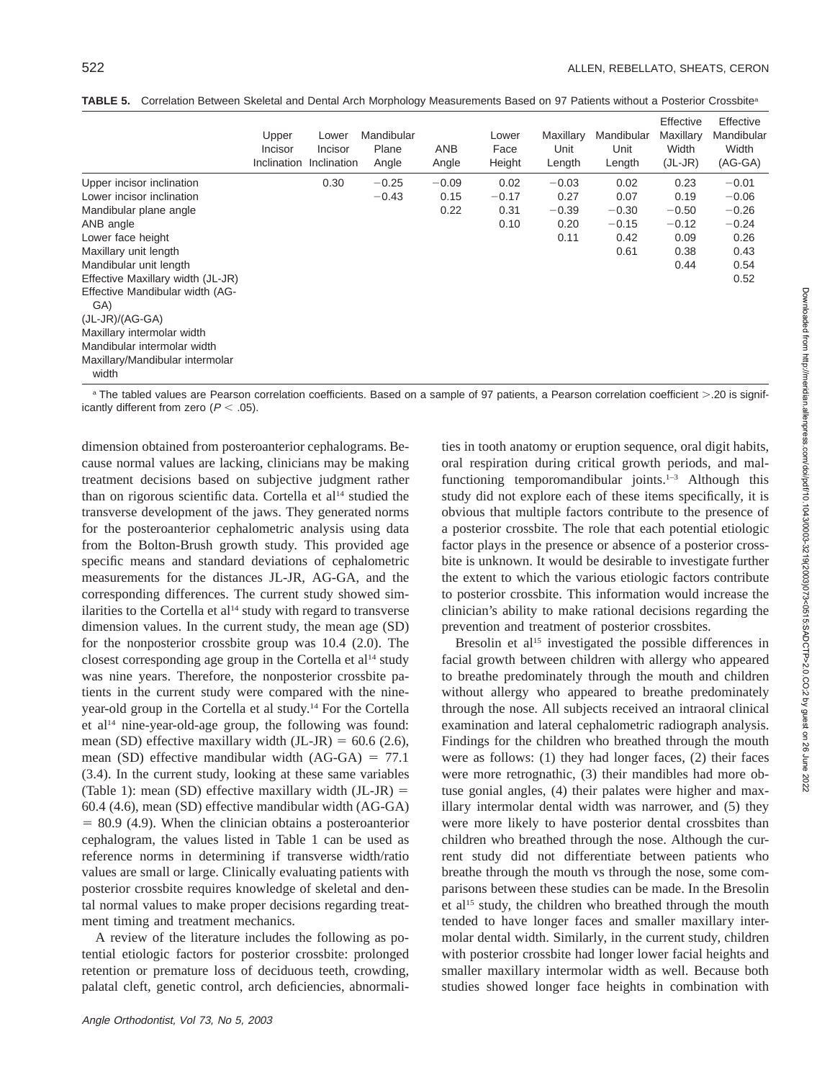|                                                                                                                                                                                                                                                                                                         | Upper<br>Incisor<br>Inclination | Lower<br>Incisor<br>Inclination | Mandibular<br>Plane<br>Angle | ANB<br>Angle            | Lower<br>Face<br>Height         | Maxillary<br>Unit<br>Length                | Mandibular<br>Unit<br>Length                       | Effective<br>Maxillary<br>Width<br>(JL-JR)                 | Effective<br>Mandibular<br>Width<br>$(AG-GA)$                            |
|---------------------------------------------------------------------------------------------------------------------------------------------------------------------------------------------------------------------------------------------------------------------------------------------------------|---------------------------------|---------------------------------|------------------------------|-------------------------|---------------------------------|--------------------------------------------|----------------------------------------------------|------------------------------------------------------------|--------------------------------------------------------------------------|
| Upper incisor inclination<br>Lower incisor inclination<br>Mandibular plane angle<br>ANB angle<br>Lower face height<br>Maxillary unit length<br>Mandibular unit length<br>Effective Maxillary width (JL-JR)<br>Effective Mandibular width (AG-<br>GA)<br>$(JL-JR)/(AG-GA)$<br>Maxillary intermolar width |                                 | 0.30                            | $-0.25$<br>$-0.43$           | $-0.09$<br>0.15<br>0.22 | 0.02<br>$-0.17$<br>0.31<br>0.10 | $-0.03$<br>0.27<br>$-0.39$<br>0.20<br>0.11 | 0.02<br>0.07<br>$-0.30$<br>$-0.15$<br>0.42<br>0.61 | 0.23<br>0.19<br>$-0.50$<br>$-0.12$<br>0.09<br>0.38<br>0.44 | $-0.01$<br>$-0.06$<br>$-0.26$<br>$-0.24$<br>0.26<br>0.43<br>0.54<br>0.52 |
| Mandibular intermolar width<br>Maxillary/Mandibular intermolar<br>width                                                                                                                                                                                                                                 |                                 |                                 |                              |                         |                                 |                                            |                                                    |                                                            |                                                                          |

**TABLE 5.** Correlation Between Skeletal and Dental Arch Morphology Measurements Based on 97 Patients without a Posterior Crossbitea

a The tabled values are Pearson correlation coefficients. Based on a sample of 97 patients, a Pearson correlation coefficient >.20 is significantly different from zero ( $P < .05$ ).

dimension obtained from posteroanterior cephalograms. Because normal values are lacking, clinicians may be making treatment decisions based on subjective judgment rather than on rigorous scientific data. Cortella et al<sup>14</sup> studied the transverse development of the jaws. They generated norms for the posteroanterior cephalometric analysis using data from the Bolton-Brush growth study. This provided age specific means and standard deviations of cephalometric measurements for the distances JL-JR, AG-GA, and the corresponding differences. The current study showed similarities to the Cortella et al<sup>14</sup> study with regard to transverse dimension values. In the current study, the mean age (SD) for the nonposterior crossbite group was 10.4 (2.0). The closest corresponding age group in the Cortella et  $al<sup>14</sup>$  study was nine years. Therefore, the nonposterior crossbite patients in the current study were compared with the nineyear-old group in the Cortella et al study.14 For the Cortella et al14 nine-year-old-age group, the following was found: mean (SD) effective maxillary width  $J(L-JR) = 60.6$  (2.6), mean (SD) effective mandibular width  $(AG-GA) = 77.1$ (3.4). In the current study, looking at these same variables (Table 1): mean (SD) effective maxillary width  $J/L-JR$ ) = 60.4 (4.6), mean (SD) effective mandibular width (AG-GA)  $= 80.9$  (4.9). When the clinician obtains a posteroanterior cephalogram, the values listed in Table 1 can be used as reference norms in determining if transverse width/ratio values are small or large. Clinically evaluating patients with posterior crossbite requires knowledge of skeletal and dental normal values to make proper decisions regarding treatment timing and treatment mechanics.

A review of the literature includes the following as potential etiologic factors for posterior crossbite: prolonged retention or premature loss of deciduous teeth, crowding, palatal cleft, genetic control, arch deficiencies, abnormalities in tooth anatomy or eruption sequence, oral digit habits, oral respiration during critical growth periods, and malfunctioning temporomandibular joints. $1-3$  Although this study did not explore each of these items specifically, it is obvious that multiple factors contribute to the presence of a posterior crossbite. The role that each potential etiologic factor plays in the presence or absence of a posterior crossbite is unknown. It would be desirable to investigate further the extent to which the various etiologic factors contribute to posterior crossbite. This information would increase the clinician's ability to make rational decisions regarding the prevention and treatment of posterior crossbites.

Bresolin et al<sup>15</sup> investigated the possible differences in facial growth between children with allergy who appeared to breathe predominately through the mouth and children without allergy who appeared to breathe predominately through the nose. All subjects received an intraoral clinical examination and lateral cephalometric radiograph analysis. Findings for the children who breathed through the mouth were as follows: (1) they had longer faces, (2) their faces were more retrognathic, (3) their mandibles had more obtuse gonial angles, (4) their palates were higher and maxillary intermolar dental width was narrower, and (5) they were more likely to have posterior dental crossbites than children who breathed through the nose. Although the current study did not differentiate between patients who breathe through the mouth vs through the nose, some comparisons between these studies can be made. In the Bresolin et al<sup>15</sup> study, the children who breathed through the mouth tended to have longer faces and smaller maxillary intermolar dental width. Similarly, in the current study, children with posterior crossbite had longer lower facial heights and smaller maxillary intermolar width as well. Because both studies showed longer face heights in combination with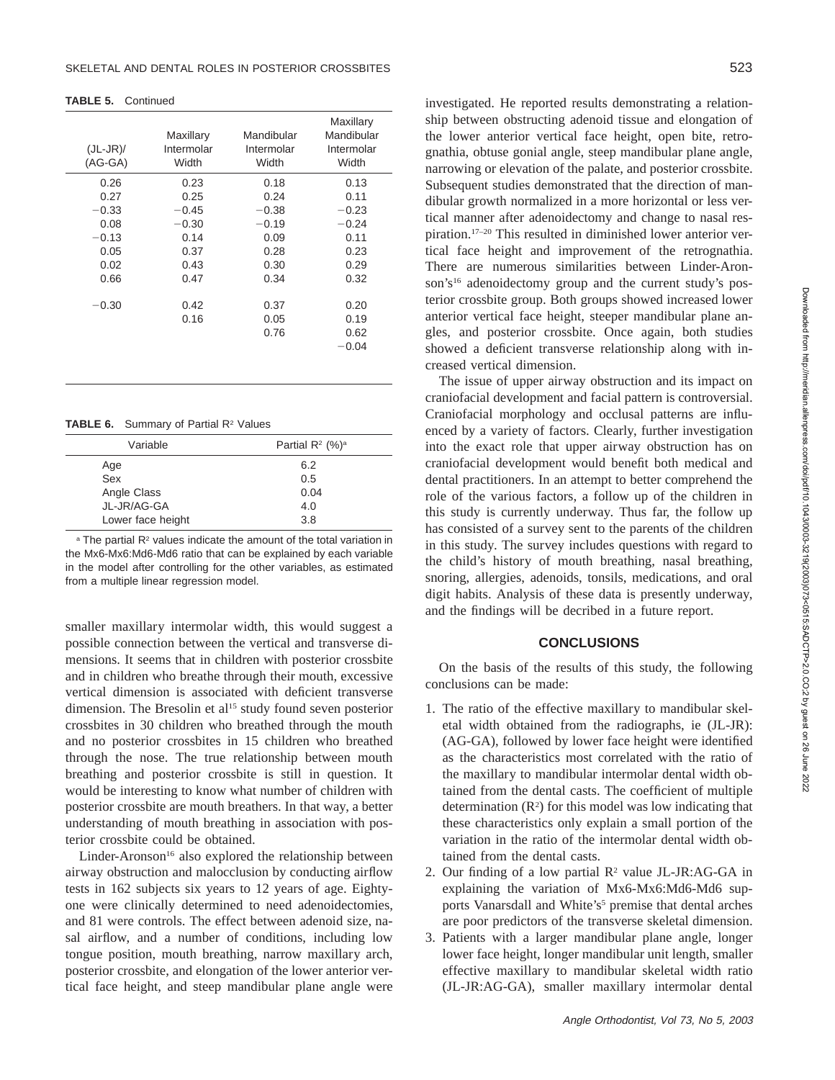**TABLE 5.** Continued

| $(JL-JR)$<br>$(AG-GA)$ | Maxillary<br>Intermolar<br>Width | Mandibular<br>Intermolar<br>Width | Maxillary<br>Mandibular<br>Intermolar<br>Width |
|------------------------|----------------------------------|-----------------------------------|------------------------------------------------|
| 0.26                   | 0.23                             | 0.18                              | 0.13                                           |
| 0.27                   | 0.25                             | 0.24                              | 0.11                                           |
| $-0.33$                | $-0.45$                          | $-0.38$                           | $-0.23$                                        |
| 0.08                   | $-0.30$                          | $-0.19$                           | $-0.24$                                        |
| $-0.13$                | 0.14                             | 0.09                              | 0.11                                           |
| 0.05                   | 0.37                             | 0.28                              | 0.23                                           |
| 0.02                   | 0.43                             | 0.30                              | 0.29                                           |
| 0.66                   | 0.47                             | 0.34                              | 0.32                                           |
|                        |                                  |                                   |                                                |
| $-0.30$                | 0.42                             | 0.37                              | 0.20                                           |
|                        | 0.16                             | 0.05                              | 0.19                                           |
|                        |                                  | 0.76                              | 0.62                                           |
|                        |                                  |                                   | $-0.04$                                        |
|                        |                                  |                                   |                                                |

| <b>TABLE 6.</b> Summary of Partial R <sup>2</sup> Values |  |  |  |  |
|----------------------------------------------------------|--|--|--|--|
|----------------------------------------------------------|--|--|--|--|

| Variable          | Partial $R^2$ (%) <sup>a</sup> |
|-------------------|--------------------------------|
| Age               | 6.2                            |
| Sex               | 0.5                            |
| Angle Class       | 0.04                           |
| JL-JR/AG-GA       | 4.0                            |
| Lower face height | 3.8                            |
|                   |                                |

 $a$  The partial R<sup>2</sup> values indicate the amount of the total variation in the Mx6-Mx6:Md6-Md6 ratio that can be explained by each variable in the model after controlling for the other variables, as estimated from a multiple linear regression model.

smaller maxillary intermolar width, this would suggest a possible connection between the vertical and transverse dimensions. It seems that in children with posterior crossbite and in children who breathe through their mouth, excessive vertical dimension is associated with deficient transverse dimension. The Bresolin et al<sup>15</sup> study found seven posterior crossbites in 30 children who breathed through the mouth and no posterior crossbites in 15 children who breathed through the nose. The true relationship between mouth breathing and posterior crossbite is still in question. It would be interesting to know what number of children with posterior crossbite are mouth breathers. In that way, a better understanding of mouth breathing in association with posterior crossbite could be obtained.

Linder-Aronson<sup>16</sup> also explored the relationship between airway obstruction and malocclusion by conducting airflow tests in 162 subjects six years to 12 years of age. Eightyone were clinically determined to need adenoidectomies, and 81 were controls. The effect between adenoid size, nasal airflow, and a number of conditions, including low tongue position, mouth breathing, narrow maxillary arch, posterior crossbite, and elongation of the lower anterior vertical face height, and steep mandibular plane angle were

investigated. He reported results demonstrating a relationship between obstructing adenoid tissue and elongation of the lower anterior vertical face height, open bite, retrognathia, obtuse gonial angle, steep mandibular plane angle, narrowing or elevation of the palate, and posterior crossbite. Subsequent studies demonstrated that the direction of mandibular growth normalized in a more horizontal or less vertical manner after adenoidectomy and change to nasal respiration.17–20 This resulted in diminished lower anterior vertical face height and improvement of the retrognathia. There are numerous similarities between Linder-Aronson's<sup>16</sup> adenoidectomy group and the current study's posterior crossbite group. Both groups showed increased lower anterior vertical face height, steeper mandibular plane angles, and posterior crossbite. Once again, both studies showed a deficient transverse relationship along with increased vertical dimension.

The issue of upper airway obstruction and its impact on craniofacial development and facial pattern is controversial. Craniofacial morphology and occlusal patterns are influenced by a variety of factors. Clearly, further investigation into the exact role that upper airway obstruction has on craniofacial development would benefit both medical and dental practitioners. In an attempt to better comprehend the role of the various factors, a follow up of the children in this study is currently underway. Thus far, the follow up has consisted of a survey sent to the parents of the children in this study. The survey includes questions with regard to the child's history of mouth breathing, nasal breathing, snoring, allergies, adenoids, tonsils, medications, and oral digit habits. Analysis of these data is presently underway, and the findings will be decribed in a future report.

#### **CONCLUSIONS**

On the basis of the results of this study, the following conclusions can be made:

- 1. The ratio of the effective maxillary to mandibular skeletal width obtained from the radiographs, ie (JL-JR): (AG-GA), followed by lower face height were identified as the characteristics most correlated with the ratio of the maxillary to mandibular intermolar dental width obtained from the dental casts. The coefficient of multiple determination  $(R^2)$  for this model was low indicating that these characteristics only explain a small portion of the variation in the ratio of the intermolar dental width obtained from the dental casts.
- 2. Our finding of a low partial  $R^2$  value JL-JR:AG-GA in explaining the variation of Mx6-Mx6:Md6-Md6 supports Vanarsdall and White's<sup>5</sup> premise that dental arches are poor predictors of the transverse skeletal dimension.
- 3. Patients with a larger mandibular plane angle, longer lower face height, longer mandibular unit length, smaller effective maxillary to mandibular skeletal width ratio (JL-JR:AG-GA), smaller maxillary intermolar dental